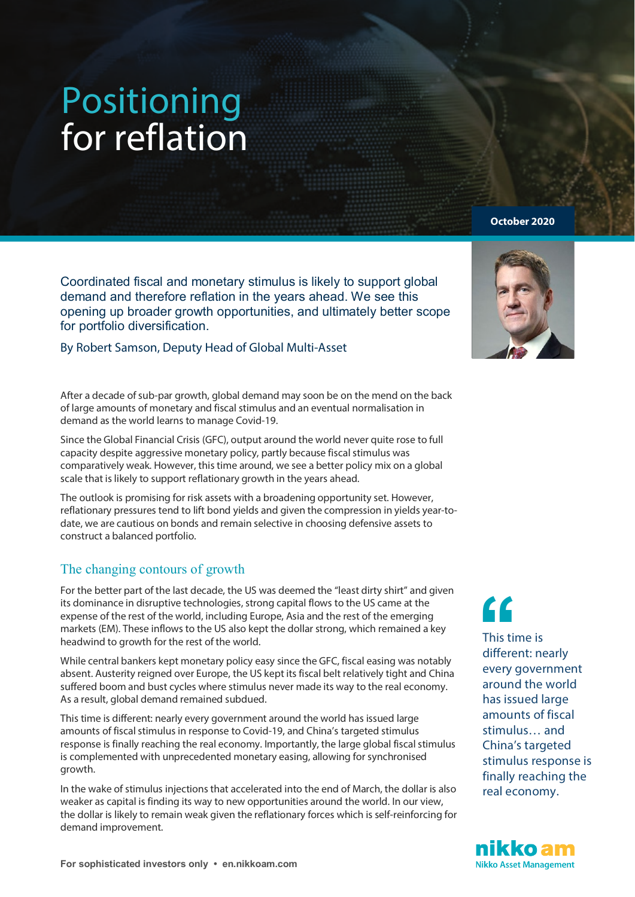# Positioning for reflation

Coordinated fiscal and monetary stimulus is likely to support global demand and therefore reflation in the years ahead. We see this opening up broader growth opportunities, and ultimately better scope for portfolio diversification.

#### By Robert Samson, Deputy Head of Global Multi-Asset

After a decade of sub-par growth, global demand may soon be on the mend on the back of large amounts of monetary and fiscal stimulus and an eventual normalisation in demand as the world learns to manage Covid-19.

Since the Global Financial Crisis (GFC), output around the world never quite rose to full capacity despite aggressive monetary policy, partly because fiscal stimulus was comparatively weak. However, this time around, we see a better policy mix on a global scale that is likely to support reflationary growth in the years ahead.

The outlook is promising for risk assets with a broadening opportunity set. However, reflationary pressures tend to lift bond yields and given the compression in yields year-todate, we are cautious on bonds and remain selective in choosing defensive assets to construct a balanced portfolio.

# The changing contours of growth

For the better part of the last decade, the US was deemed the "least dirty shirt" and given its dominance in disruptive technologies, strong capital flows to the US came at the expense of the rest of the world, including Europe, Asia and the rest of the emerging markets (EM). These inflows to the US also kept the dollar strong, which remained a key headwind to growth for the rest of the world.

While central bankers kept monetary policy easy since the GFC, fiscal easing was notably absent. Austerity reigned over Europe, the US kept its fiscal belt relatively tight and China suffered boom and bust cycles where stimulus never made its way to the real economy. As a result, global demand remained subdued.

This time is different: nearly every government around the world has issued large amounts of fiscal stimulus in response to Covid-19, and China's targeted stimulus response is finally reaching the real economy. Importantly, the large global fiscal stimulus is complemented with unprecedented monetary easing, allowing for synchronised growth.

In the wake of stimulus injections that accelerated into the end of March, the dollar is also weaker as capital is finding its way to new opportunities around the world. In our view, the dollar is likely to remain weak given the reflationary forces which is self-reinforcing for demand improvement.

**October 2020**



This time is different: nearly every government around the world has issued large amounts of fiscal stimulus… and China's targeted stimulus response is finally reaching the real economy.

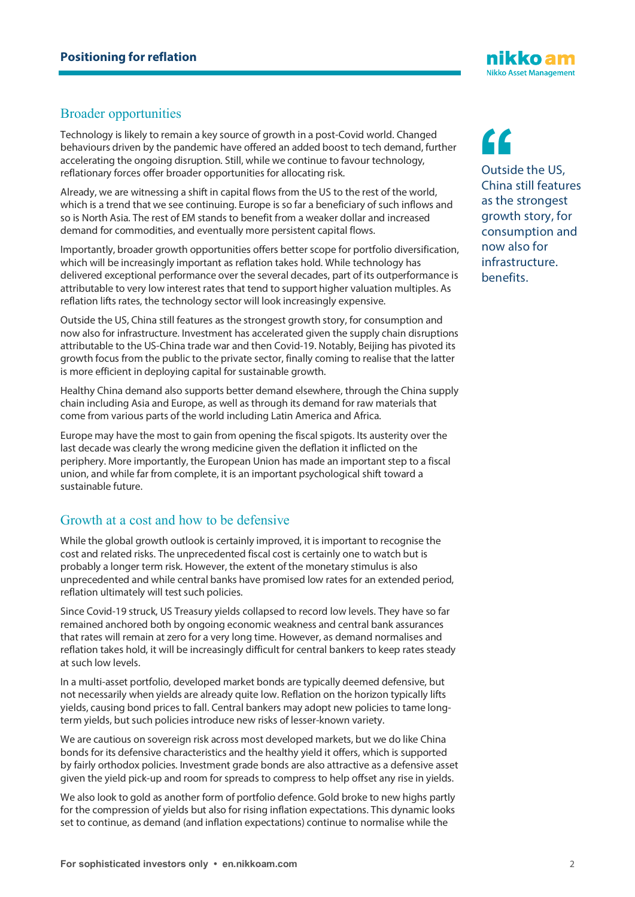

## Broader opportunities

Technology is likely to remain a key source of growth in a post-Covid world. Changed behaviours driven by the pandemic have offered an added boost to tech demand, further accelerating the ongoing disruption. Still, while we continue to favour technology, reflationary forces offer broader opportunities for allocating risk.

Already, we are witnessing a shift in capital flows from the US to the rest of the world, which is a trend that we see continuing. Europe is so far a beneficiary of such inflows and so is North Asia. The rest of EM stands to benefit from a weaker dollar and increased demand for commodities, and eventually more persistent capital flows.

Importantly, broader growth opportunities offers better scope for portfolio diversification, which will be increasingly important as reflation takes hold. While technology has delivered exceptional performance over the several decades, part of its outperformance is attributable to very low interest rates that tend to support higher valuation multiples. As reflation lifts rates, the technology sector will look increasingly expensive.

Outside the US, China still features as the strongest growth story, for consumption and now also for infrastructure. Investment has accelerated given the supply chain disruptions attributable to the US-China trade war and then Covid-19. Notably, Beijing has pivoted its growth focus from the public to the private sector, finally coming to realise that the latter is more efficient in deploying capital for sustainable growth.

Healthy China demand also supports better demand elsewhere, through the China supply chain including Asia and Europe, as well as through its demand for raw materials that come from various parts of the world including Latin America and Africa.

Europe may have the most to gain from opening the fiscal spigots. Its austerity over the last decade was clearly the wrong medicine given the deflation it inflicted on the periphery. More importantly, the European Union has made an important step to a fiscal union, and while far from complete, it is an important psychological shift toward a sustainable future.

## Growth at a cost and how to be defensive

While the global growth outlook is certainly improved, it is important to recognise the cost and related risks. The unprecedented fiscal cost is certainly one to watch but is probably a longer term risk. However, the extent of the monetary stimulus is also unprecedented and while central banks have promised low rates for an extended period, reflation ultimately will test such policies.

Since Covid-19 struck, US Treasury yields collapsed to record low levels. They have so far remained anchored both by ongoing economic weakness and central bank assurances that rates will remain at zero for a very long time. However, as demand normalises and reflation takes hold, it will be increasingly difficult for central bankers to keep rates steady at such low levels.

In a multi-asset portfolio, developed market bonds are typically deemed defensive, but not necessarily when yields are already quite low. Reflation on the horizon typically lifts yields, causing bond prices to fall. Central bankers may adopt new policies to tame longterm yields, but such policies introduce new risks of lesser-known variety.

We are cautious on sovereign risk across most developed markets, but we do like China bonds for its defensive characteristics and the healthy yield it offers, which is supported by fairly orthodox policies. Investment grade bonds are also attractive as a defensive asset given the yield pick-up and room for spreads to compress to help offset any rise in yields.

We also look to gold as another form of portfolio defence. Gold broke to new highs partly for the compression of yields but also for rising inflation expectations. This dynamic looks set to continue, as demand (and inflation expectations) continue to normalise while the

**''**

Outside the US, China still features as the strongest growth story, for consumption and now also for infrastructure. benefits.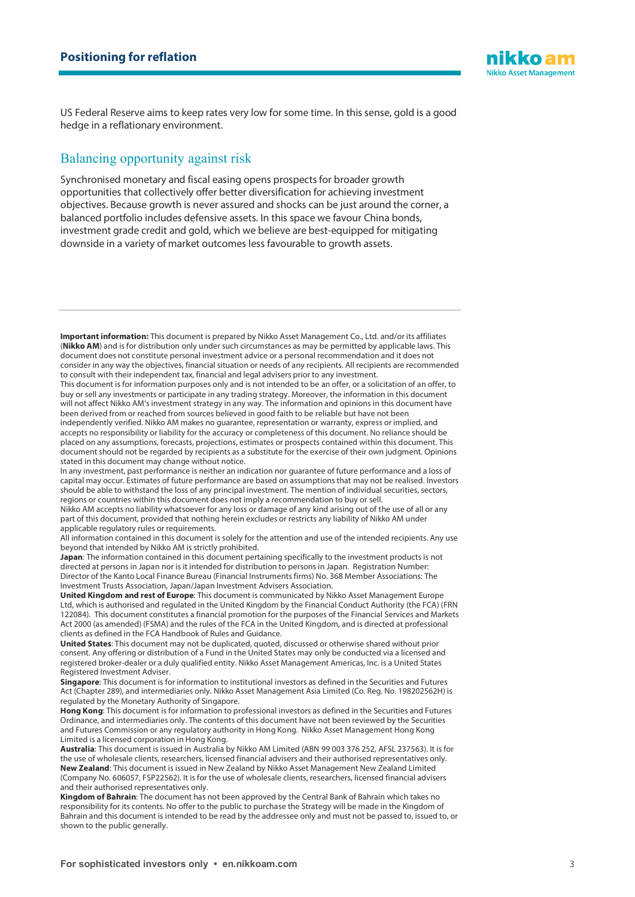

US Federal Reserve aims to keep rates very low for some time. In this sense, gold is a good hedge in a reflationary environment.

#### Balancing opportunity against risk

Synchronised monetary and fiscal easing opens prospects for broader growth opportunities that collectively offer better diversification for achieving investment objectives. Because growth is never assured and shocks can be just around the corner, a balanced portfolio includes defensive assets. In this space we favour China bonds, investment grade credit and gold, which we believe are best-equipped for mitigating downside in a variety of market outcomes less favourable to growth assets.

**Important information:** This document is prepared by Nikko Asset Management Co., Ltd. and/or its affiliates (**Nikko AM**) and is for distribution only under such circumstances as may be permitted by applicable laws. This document does not constitute personal investment advice or a personal recommendation and it does not consider in any way the objectives, financial situation or needs of any recipients. All recipients are recommended to consult with their independent tax, financial and legal advisers prior to any investment.

This document is for information purposes only and is not intended to be an offer, or a solicitation of an offer, to buy or sell any investments or participate in any trading strategy. Moreover, the information in this document will not affect Nikko AM's investment strategy in any way. The information and opinions in this document have been derived from or reached from sources believed in good faith to be reliable but have not been independently verified. Nikko AM makes no guarantee, representation or warranty, express or implied, and

accepts no responsibility or liability for the accuracy or completeness of this document. No reliance should be placed on any assumptions, forecasts, projections, estimates or prospects contained within this document. This document should not be regarded by recipients as a substitute for the exercise of their own judgment. Opinions stated in this document may change without notice.

In any investment, past performance is neither an indication nor guarantee of future performance and a loss of capital may occur. Estimates of future performance are based on assumptions that may not be realised. Investors should be able to withstand the loss of any principal investment. The mention of individual securities, sectors, regions or countries within this document does not imply a recommendation to buy or sell.

Nikko AM accepts no liability whatsoever for any loss or damage of any kind arising out of the use of all or any part of this document, provided that nothing herein excludes or restricts any liability of Nikko AM under applicable regulatory rules or requirements.

All information contained in this document is solely for the attention and use of the intended recipients. Any use beyond that intended by Nikko AM is strictly prohibited.

**Japan**: The information contained in this document pertaining specifically to the investment products is not directed at persons in Japan nor is it intended for distribution to persons in Japan. Registration Number: Director of the Kanto Local Finance Bureau (Financial Instruments firms) No. 368 Member Associations: The Investment Trusts Association, Japan/Japan Investment Advisers Association.

**United Kingdom and rest of Europe**: This document is communicated by Nikko Asset Management Europe Ltd, which is authorised and regulated in the United Kingdom by the Financial Conduct Authority (the FCA) (FRN 122084). This document constitutes a financial promotion for the purposes of the Financial Services and Markets Act 2000 (as amended) (FSMA) and the rules of the FCA in the United Kingdom, and is directed at professional clients as defined in the FCA Handbook of Rules and Guidance.

**United States**: This document may not be duplicated, quoted, discussed or otherwise shared without prior consent. Any offering or distribution of a Fund in the United States may only be conducted via a licensed and registered broker-dealer or a duly qualified entity. Nikko Asset Management Americas, Inc. is a United States Registered Investment Adviser.

**Singapore**: This document is for information to institutional investors as defined in the Securities and Futures Act (Chapter 289), and intermediaries only. Nikko Asset Management Asia Limited (Co. Reg. No. 198202562H) is regulated by the Monetary Authority of Singapore.

**Hong Kong**: This document is for information to professional investors as defined in the Securities and Futures Ordinance, and intermediaries only. The contents of this document have not been reviewed by the Securities and Futures Commission or any regulatory authority in Hong Kong. Nikko Asset Management Hong Kong Limited is a licensed corporation in Hong Kong.

**Australia**: This document is issued in Australia by Nikko AM Limited (ABN 99 003 376 252, AFSL 237563). It is for the use of wholesale clients, researchers, licensed financial advisers and their authorised representatives only. **New Zealand**: This document is issued in New Zealand by Nikko Asset Management New Zealand Limited (Company No. 606057, FSP22562). It is for the use of wholesale clients, researchers, licensed financial advisers and their authorised representatives only.

**Kingdom of Bahrain**: The document has not been approved by the Central Bank of Bahrain which takes no responsibility for its contents. No offer to the public to purchase the Strategy will be made in the Kingdom of Bahrain and this document is intended to be read by the addressee only and must not be passed to, issued to, or shown to the public generally.